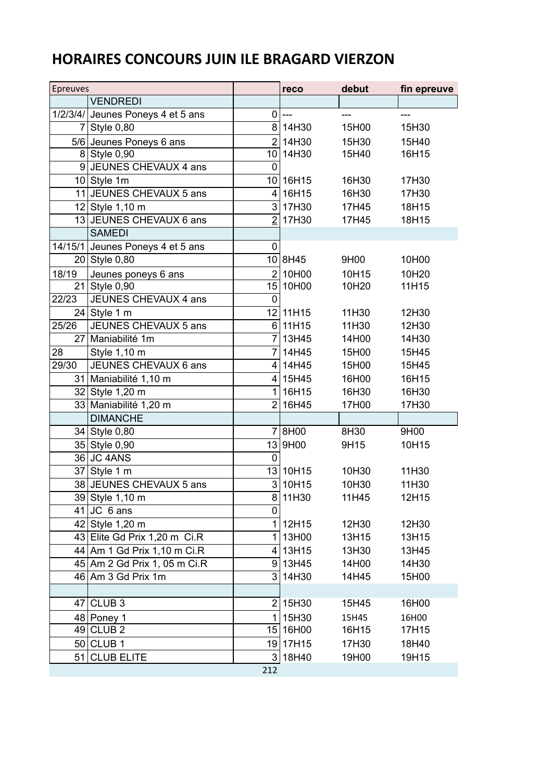## **HORAIRES CONCOURS JUIN ILE BRAGARD VIERZON**

| Epreuves |                                      |                  | reco                  | debut | fin epreuve |
|----------|--------------------------------------|------------------|-----------------------|-------|-------------|
|          | <b>VENDREDI</b>                      |                  |                       |       |             |
|          | $1/2/3/4$ / Jeunes Poneys 4 et 5 ans | $\overline{0}$   | $\qquad \qquad -$     |       |             |
|          | $7$ Style 0,80                       |                  | 8 14H30               | 15H00 | 15H30       |
|          | 5/6 Jeunes Poneys 6 ans              |                  | 2 14H30               | 15H30 | 15H40       |
|          | 8 Style 0,90                         | 10 <sup>1</sup>  | 14H30                 | 15H40 | 16H15       |
|          | 9 JEUNES CHEVAUX 4 ans               | 0                |                       |       |             |
|          | $10$ Style 1m                        |                  | 10 16H15              | 16H30 | 17H30       |
|          | 11 JEUNES CHEVAUX 5 ans              |                  | 4 16H15               | 16H30 | 17H30       |
|          | 12 Style 1,10 m                      |                  | $\overline{3}$ 17H30  | 17H45 | 18H15       |
|          | 13 JEUNES CHEVAUX 6 ans              | $\overline{2}$   | 17H30                 | 17H45 | 18H15       |
|          | <b>SAMEDI</b>                        |                  |                       |       |             |
|          | 14/15/1 Jeunes Poneys 4 et 5 ans     | $\pmb{0}$        |                       |       |             |
|          | 20 Style 0,80                        |                  | 10 8H45               | 9H00  | 10H00       |
| 18/19    | Jeunes poneys 6 ans                  | 2 <sup>1</sup>   | 10H00                 | 10H15 | 10H20       |
|          | $\overline{21}$ Style 0,90           | 15               | 10H00                 | 10H20 | 11H15       |
| 22/23    | <b>JEUNES CHEVAUX 4 ans</b>          | $\mathbf 0$      |                       |       |             |
|          | $24$ Style 1 m                       |                  | $\overline{12}$ 11H15 | 11H30 | 12H30       |
| 25/26    | JEUNES CHEVAUX 5 ans                 |                  | 6 11H15               | 11H30 | 12H30       |
| 27 l     | Maniabilité 1m                       |                  | 7 13H45               | 14H00 | 14H30       |
| 28       | Style 1,10 m                         | $\overline{7}$   | 14H45                 | 15H00 | 15H45       |
| 29/30    | <b>JEUNES CHEVAUX 6 ans</b>          |                  | 4 14H45               | 15H00 | 15H45       |
|          | 31 Maniabilité 1,10 m                |                  | $\overline{4}$ 15H45  | 16H00 | 16H15       |
|          | 32 Style 1,20 m                      | 1                | 16H15                 | 16H30 | 16H30       |
|          | 33 Maniabilité 1,20 m                | 2 <sup>1</sup>   | 16H45                 | 17H00 | 17H30       |
|          | <b>DIMANCHE</b>                      |                  |                       |       |             |
|          | 34 Style 0,80                        |                  | 7 8H00                | 8H30  | 9H00        |
|          | 35 Style 0,90                        |                  | 13 9H00               | 9H15  | 10H15       |
|          | 36 JC 4ANS                           | $\boldsymbol{0}$ |                       |       |             |
|          | $37$ Style 1 m                       |                  | 13 10H15              | 10H30 | 11H30       |
|          | 38 JEUNES CHEVAUX 5 ans              |                  | $\overline{3}$ 10H15  | 10H30 | 11H30       |
|          | 39 Style 1,10 m                      |                  | 8 11H30               | 11H45 | 12H15       |
|          | $\overline{41}$ JC 6 ans             | 0                |                       |       |             |
|          | 42 Style 1,20 m                      |                  | 1 12H15               | 12H30 | 12H30       |
|          | 43 Elite Gd Prix 1,20 m Ci.R         |                  | 1 13H00               | 13H15 | 13H15       |
|          | 44 Am 1 Gd Prix 1,10 m Ci.R          |                  | 4 13H15               | 13H30 | 13H45       |
|          | 45 Am 2 Gd Prix 1, 05 m Ci.R         |                  | 9 13H45               | 14H00 | 14H30       |
|          | 46 Am 3 Gd Prix 1m                   |                  | 3 14H30               | 14H45 | 15H00       |
|          |                                      |                  |                       |       |             |
|          | $47$ CLUB 3                          |                  | 2 15H30               | 15H45 | 16H00       |
|          | $48$ Poney 1                         |                  | 1 15H30               | 15H45 | 16H00       |
|          | $49$ CLUB 2                          |                  | 15 16H00              | 16H15 | 17H15       |
|          | $50$ CLUB 1                          |                  | 19 17H15              | 17H30 | 18H40       |
|          | 51 CLUB ELITE                        |                  | 3 18H40               | 19H00 | 19H15       |
|          |                                      | 212              |                       |       |             |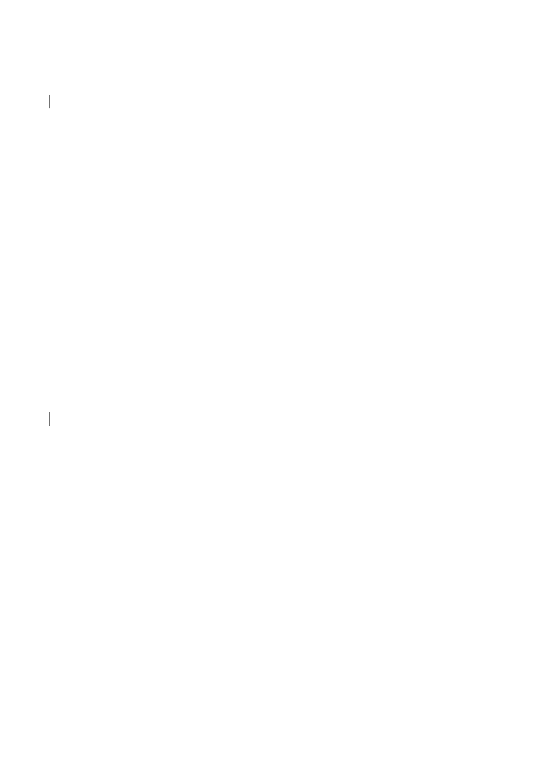$\begin{array}{|c|c|} \hline \rule{0pt}{12pt} \rule{0pt}{2.5pt} \rule{0pt}{2.5pt} \rule{0pt}{2.5pt} \rule{0pt}{2.5pt} \rule{0pt}{2.5pt} \rule{0pt}{2.5pt} \rule{0pt}{2.5pt} \rule{0pt}{2.5pt} \rule{0pt}{2.5pt} \rule{0pt}{2.5pt} \rule{0pt}{2.5pt} \rule{0pt}{2.5pt} \rule{0pt}{2.5pt} \rule{0pt}{2.5pt} \rule{0pt}{2.5pt} \rule{0pt}{2.5pt} \rule{0pt}{2.5pt} \rule{0pt}{2.5$ 

 $\begin{array}{c} \hline \end{array}$